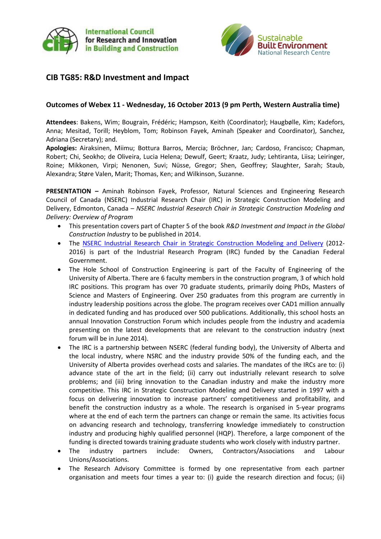



# **CIB TG85: R&D Investment and Impact**

### **Outcomes of Webex 11 - Wednesday, 16 October 2013 (9 pm Perth, Western Australia time)**

**Attendees**: Bakens, Wim; Bougrain, Frédéric; Hampson, Keith (Coordinator); Haugbølle, Kim; Kadefors, Anna; Mesitad, Torill; Heyblom, Tom; Robinson Fayek, Aminah (Speaker and Coordinator), Sanchez, Adriana (Secretary); and.

**Apologies:** Airaksinen, Miimu; Bottura Barros, Mercia; Bröchner, Jan; Cardoso, Francisco; Chapman, Robert; Chi, Seokho; de Oliveira, Lucia Helena; Dewulf, Geert; Kraatz, Judy; Lehtiranta, Liisa; Leiringer, Roine; Mikkonen, Virpi; Nenonen, Suvi; Nüsse, Gregor; Shen, Geoffrey; Slaughter, Sarah; Staub, Alexandra; Støre Valen, Marit; Thomas, Ken; and Wilkinson, Suzanne.

**PRESENTATION –** Aminah Robinson Fayek, Professor, Natural Sciences and Engineering Research Council of Canada (NSERC) Industrial Research Chair (IRC) in Strategic Construction Modeling and Delivery, Edmonton, Canada – *NSERC Industrial Research Chair in Strategic Construction Modeling and Delivery: Overview of Program*

- This presentation covers part of Chapter 5 of the book *R&D Investment and Impact in the Global Construction Industry* to be published in 2014.
- The [NSERC Industrial Research Chair in Strategic Construction Modeling and Delivery](http://www.strategic-construction.ualberta.ca/) (2012- 2016) is part of the Industrial Research Program (IRC) funded by the Canadian Federal Government.
- The Hole School of Construction Engineering is part of the Faculty of Engineering of the University of Alberta. There are 6 faculty members in the construction program, 3 of which hold IRC positions. This program has over 70 graduate students, primarily doing PhDs, Masters of Science and Masters of Engineering. Over 250 graduates from this program are currently in industry leadership positions across the globe. The program receives over CAD1 million annually in dedicated funding and has produced over 500 publications. Additionally, this school hosts an annual Innovation Construction Forum which includes people from the industry and academia presenting on the latest developments that are relevant to the construction industry (next forum will be in June 2014).
- The IRC is a partnership between NSERC (federal funding body), the University of Alberta and the local industry, where NSRC and the industry provide 50% of the funding each, and the University of Alberta provides overhead costs and salaries. The mandates of the IRCs are to: (i) advance state of the art in the field; (ii) carry out industrially relevant research to solve problems; and (iii) bring innovation to the Canadian industry and make the industry more competitive. This IRC in Strategic Construction Modeling and Delivery started in 1997 with a focus on delivering innovation to increase partners' competitiveness and profitability, and benefit the construction industry as a whole. The research is organised in 5-year programs where at the end of each term the partners can change or remain the same. Its activities focus on advancing research and technology, transferring knowledge immediately to construction industry and producing highly qualified personnel (HQP). Therefore, a large component of the funding is directed towards training graduate students who work closely with industry partner.
- The industry partners include: Owners, Contractors/Associations and Labour Unions/Associations.
- The Research Advisory Committee is formed by one representative from each partner organisation and meets four times a year to: (i) guide the research direction and focus; (ii)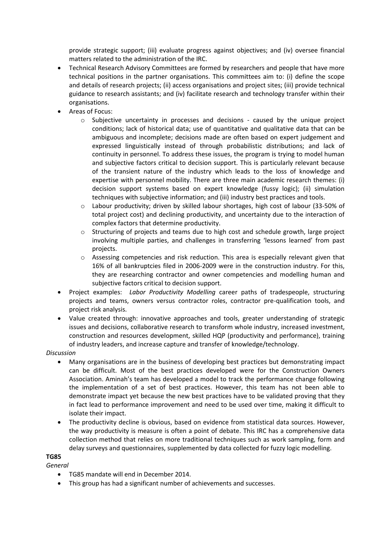provide strategic support; (iii) evaluate progress against objectives; and (iv) oversee financial matters related to the administration of the IRC.

- Technical Research Advisory Committees are formed by researchers and people that have more technical positions in the partner organisations. This committees aim to: (i) define the scope and details of research projects; (ii) access organisations and project sites; (iii) provide technical guidance to research assistants; and (iv) facilitate research and technology transfer within their organisations.
- Areas of Focus:
	- $\circ$  Subjective uncertainty in processes and decisions caused by the unique project conditions; lack of historical data; use of quantitative and qualitative data that can be ambiguous and incomplete; decisions made are often based on expert judgement and expressed linguistically instead of through probabilistic distributions; and lack of continuity in personnel. To address these issues, the program is trying to model human and subjective factors critical to decision support. This is particularly relevant because of the transient nature of the industry which leads to the loss of knowledge and expertise with personnel mobility. There are three main academic research themes: (i) decision support systems based on expert knowledge (fussy logic); (ii) simulation techniques with subjective information; and (iii) industry best practices and tools.
	- Labour productivity; driven by skilled labour shortages, high cost of labour (33-50% of total project cost) and declining productivity, and uncertainty due to the interaction of complex factors that determine productivity.
	- o Structuring of projects and teams due to high cost and schedule growth, large project involving multiple parties, and challenges in transferring 'lessons learned' from past projects.
	- o Assessing competencies and risk reduction. This area is especially relevant given that 16% of all bankruptcies filed in 2006-2009 were in the construction industry. For this, they are researching contractor and owner competencies and modelling human and subjective factors critical to decision support.
- Project examples: *Labor Productivity Modelling* career paths of tradespeople, structuring projects and teams, owners versus contractor roles, contractor pre-qualification tools, and project risk analysis.
- Value created through: innovative approaches and tools, greater understanding of strategic issues and decisions, collaborative research to transform whole industry, increased investment, construction and resources development, skilled HQP (productivity and performance), training of industry leaders, and increase capture and transfer of knowledge/technology.

## *Discussion*

- Many organisations are in the business of developing best practices but demonstrating impact can be difficult. Most of the best practices developed were for the Construction Owners Association. Aminah's team has developed a model to track the performance change following the implementation of a set of best practices. However, this team has not been able to demonstrate impact yet because the new best practices have to be validated proving that they in fact lead to performance improvement and need to be used over time, making it difficult to isolate their impact.
- The productivity decline is obvious, based on evidence from statistical data sources. However, the way productivity is measure is often a point of debate. This IRC has a comprehensive data collection method that relies on more traditional techniques such as work sampling, form and delay surveys and questionnaires, supplemented by data collected for fuzzy logic modelling.

#### **TG85**

*General*

- TG85 mandate will end in December 2014.
- This group has had a significant number of achievements and successes.